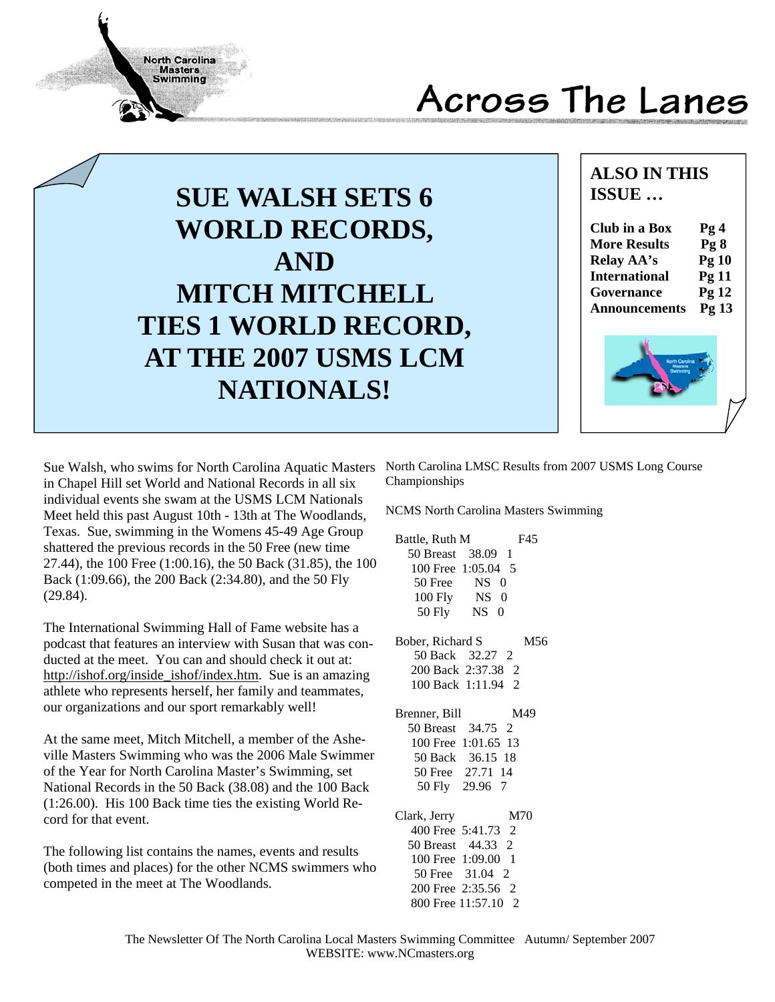# Across The Lanes



## **ALSO IN THIS ISSUE …**

| <b>Club in a Box</b> | Pg4             |
|----------------------|-----------------|
| <b>More Results</b>  | Pg <sub>8</sub> |
| Relay AA's           | Pg10            |
| <b>International</b> | Pg11            |
| Governance           | Pg 12           |
| <b>Announcements</b> | Pg 13           |
|                      |                 |



Sue Walsh, who swims for North Carolina Aquatic Masters in Chapel Hill set World and National Records in all six individual events she swam at the USMS LCM Nationals Meet held this past August 10th - 13th at The Woodlands, Texas. Sue, swimming in the Womens 45-49 Age Group shattered the previous records in the 50 Free (new time 27.44), the 100 Free (1:00.16), the 50 Back (31.85), the 100 Back (1:09.66), the 200 Back (2:34.80), and the 50 Fly (29.84).

**North Carolina Masters Swimming** 

The International Swimming Hall of Fame website has a podcast that features an interview with Susan that was conducted at the meet. You can and should check it out at: http://ishof.org/inside\_ishof/index.htm. Sue is an amazing athlete who represents herself, her family and teammates, our organizations and our sport remarkably well!

At the same meet, Mitch Mitchell, a member of the Asheville Masters Swimming who was the 2006 Male Swimmer of the Year for North Carolina Master's Swimming, set National Records in the 50 Back (38.08) and the 100 Back (1:26.00). His 100 Back time ties the existing World Record for that event.

The following list contains the names, events and results (both times and places) for the other NCMS swimmers who competed in the meet at The Woodlands.

North Carolina LMSC Results from 2007 USMS Long Course Championships

NCMS North Carolina Masters Swimming

| Battle, Ruth M             | F45 |
|----------------------------|-----|
| 50 Breast 38.09 1          |     |
| 100 Free 1:05.04 5         |     |
| 50 Free<br>NS <sub>0</sub> |     |
| 100 Fly NS 0               |     |
| $50$ Fly<br>$NS$ 0         |     |
| Bober, Richard S           | M56 |

 50 Back 32.27 2 200 Back 2:37.38 2 100 Back 1:11.94 2

| Brenner, Bill                        | M49                 |
|--------------------------------------|---------------------|
| 50 Breast 34.75 2                    |                     |
|                                      | 100 Free 1:01.65 13 |
|                                      | 50 Back 36.15 18    |
|                                      | 50 Free 27.71 14    |
| 50 Fly 29.96 7                       |                     |
|                                      |                     |
| Cl <sub>ark</sub> I <sub>array</sub> |                     |

| Clark, Jerry        | M70 |
|---------------------|-----|
| 400 Free 5:41.73 2  |     |
| 50 Breast 44.33 2   |     |
| 100 Free 1:09.00 1  |     |
| 50 Free 31.04 2     |     |
| 200 Free 2:35.56 2  |     |
| 800 Free 11:57.10 2 |     |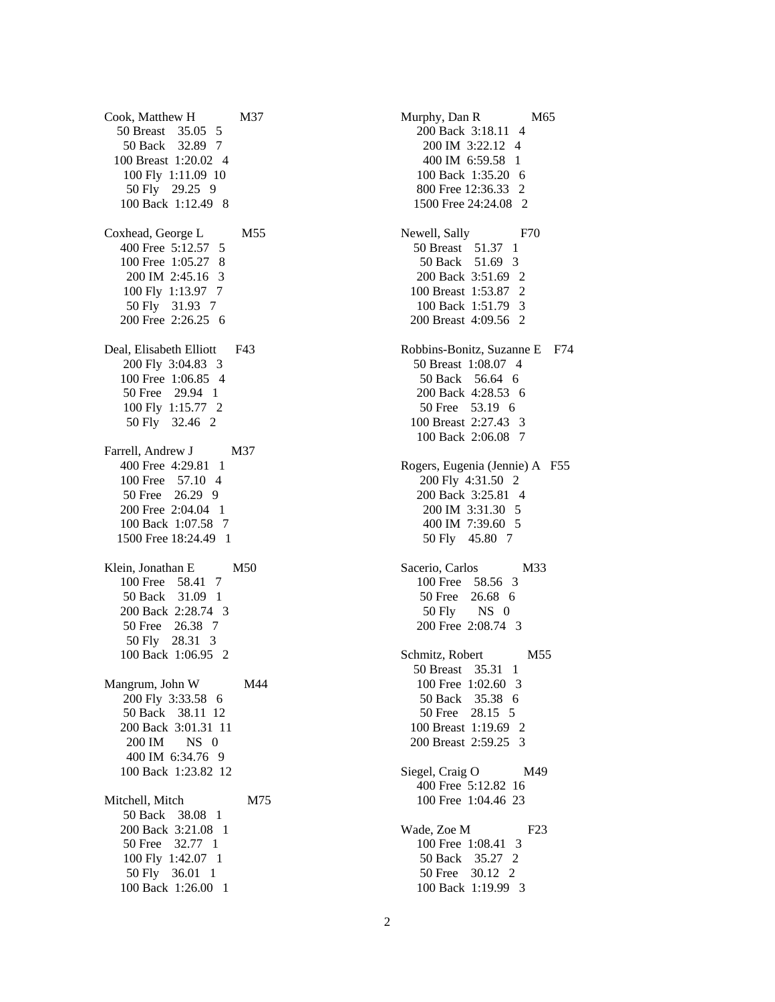Cook, Matthew H M37 50 Breast 35.05 5 50 Back 32.89 7 100 Breast 1:20.02 4 100 Fly 1:11.09 10 50 Fly 29.25 9 100 Back 1:12.49 8 Coxhead, George L M55 400 Free 5:12.57 5 100 Free 1:05.27 8 200 IM 2:45.16 3 100 Fly 1:13.97 7 50 Fly 31.93 7 200 Free 2:26.25 6 Deal, Elisabeth Elliott F43 200 Fly 3:04.83 3 100 Free 1:06.85 4 50 Free 29.94 1 100 Fly 1:15.77 2 50 Fly 32.46 2 Farrell, Andrew J M37 400 Free 4:29.81 1 100 Free 57.10 4 50 Free 26.29 9 200 Free 2:04.04 1 100 Back 1:07.58 7 1500 Free 18:24.49 1 Klein, Jonathan E M50 100 Free 58.41 7 50 Back 31.09 1 200 Back 2:28.74 3 50 Free 26.38 7 50 Fly 28.31 3 100 Back 1:06.95 2 Mangrum, John W M44 200 Fly 3:33.58 6 50 Back 38.11 12 200 Back 3:01.31 11 200 IM NS 0 400 IM 6:34.76 9 100 Back 1:23.82 12 Mitchell, Mitch M75 50 Back 38.08 1 200 Back 3:21.08 1 50 Free 32.77 1 100 Fly 1:42.07 1 50 Fly 36.01 1 100 Back 1:26.00 1

Murphy, Dan R M65 200 Back 3:18.11 4 200 IM 3:22.12 4 400 IM 6:59.58 1 100 Back 1:35.20 6 800 Free 12:36.33 2 1500 Free 24:24.08 2 Newell, Sally F70 50 Breast 51.37 1 50 Back 51.69 3 200 Back 3:51.69 2 100 Breast 1:53.87 2 100 Back 1:51.79 3 200 Breast 4:09.56 2 Robbins-Bonitz, Suzanne E F74 50 Breast 1:08.07 4 50 Back 56.64 6 200 Back 4:28.53 6 50 Free 53.19 6 100 Breast 2:27.43 3 100 Back 2:06.08 7 Rogers, Eugenia (Jennie) A F55 200 Fly 4:31.50 2 200 Back 3:25.81 4 200 IM 3:31.30 5 400 IM 7:39.60 5 50 Fly 45.80 7 Sacerio, Carlos M33 100 Free 58.56 3 50 Free 26.68 6 50 Fly NS 0 200 Free 2:08.74 3 Schmitz, Robert M55 50 Breast 35.31 1 100 Free 1:02.60 3 50 Back 35.38 6 50 Free 28.15 5 100 Breast 1:19.69 2 200 Breast 2:59.25 3 Siegel, Craig O M49 400 Free 5:12.82 16 100 Free 1:04.46 23 Wade, Zoe M F23 100 Free 1:08.41 3 50 Back 35.27 2 50 Free 30.12 2 100 Back 1:19.99 3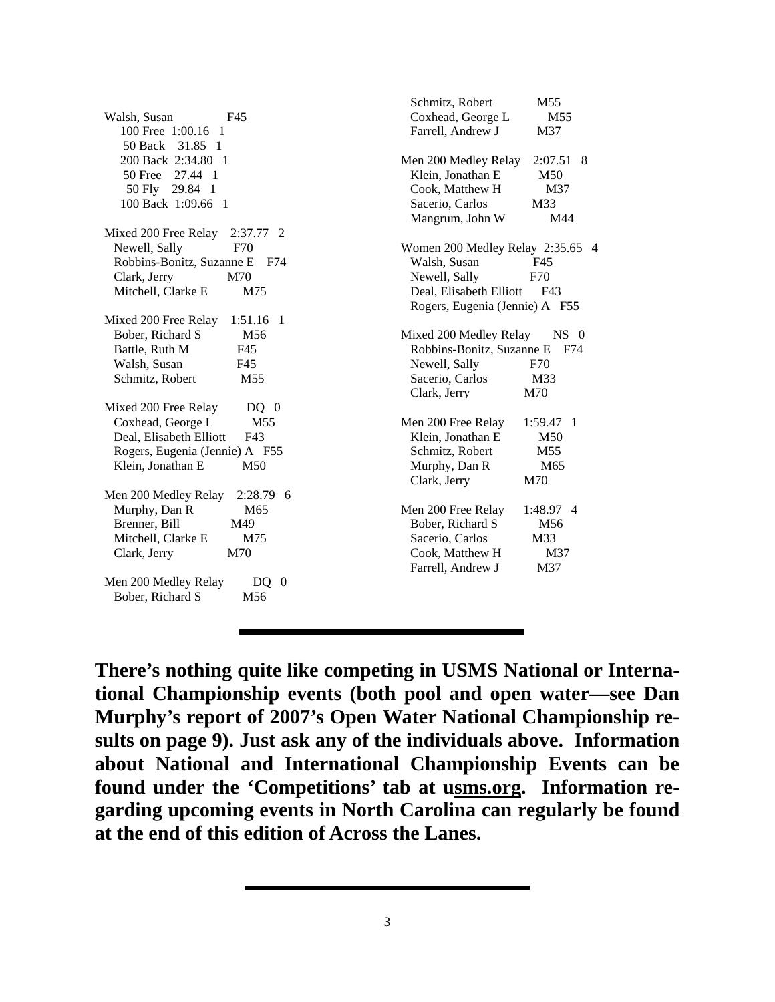| Coxhead, George L<br>Walsh, Susan<br>F45<br>M <sub>55</sub><br>Farrell, Andrew J<br>100 Free 1:00.16<br>M37<br>-1<br>50 Back 31.85 1<br>200 Back 2:34.80 1<br>Men 200 Medley Relay<br>$2:07.51$ 8<br>50 Free 27.44 1<br>Klein, Jonathan E<br>M50<br>50 Fly 29.84 1<br>Cook, Matthew H<br>M37<br>100 Back 1:09.66 1<br>Sacerio, Carlos<br>M33<br>Mangrum, John W<br>M44<br>Mixed 200 Free Relay<br>$2:37.77$ 2<br>Newell, Sally<br>F70<br>Women 200 Medley Relay 2:35.65 4<br>Robbins-Bonitz, Suzanne E<br>Walsh, Susan<br>F74<br>F45<br>M70<br>Newell, Sally<br>F70<br>Clark, Jerry<br>Mitchell, Clarke E<br>Deal, Elisabeth Elliott<br>M75<br>F43<br>Rogers, Eugenia (Jennie) A F55<br>Mixed 200 Free Relay<br>1:51.16 1<br>M56<br>Bober, Richard S<br>$NS$ 0<br>Mixed 200 Medley Relay<br>Robbins-Bonitz, Suzanne E<br>Battle, Ruth M<br>F45<br>F74<br>Walsh, Susan<br>Newell, Sally<br>F45<br>F70<br>Sacerio, Carlos<br>Schmitz, Robert<br>M55<br>M33<br>Clark, Jerry<br>M70<br>Mixed 200 Free Relay<br>$DQ \quad 0$<br>Coxhead, George L<br>M55<br>Men 200 Free Relay<br>$1:59.47$ 1<br>Deal, Elisabeth Elliott<br>Klein, Jonathan E<br>F43<br>M50<br>Rogers, Eugenia (Jennie) A F55<br>Schmitz, Robert<br>M55<br>Klein, Jonathan E<br>M50<br>Murphy, Dan R<br>M65<br>Clark, Jerry<br>M70<br>Men 200 Medley Relay<br>$2:28.79$ 6<br>Murphy, Dan R<br>M <sub>65</sub><br>Men 200 Free Relay<br>1:48.97 4<br>Brenner, Bill<br>Bober, Richard S<br>M56<br>M49<br>Mitchell, Clarke E<br>M75<br>Sacerio, Carlos<br>M33<br>Clark, Jerry<br>Cook, Matthew H<br>M70<br>M37<br>Farrell, Andrew J<br>M37<br>Men 200 Medley Relay<br>$DQ \quad 0$<br>Bober, Richard S<br>M <sub>56</sub> | Schmitz, Robert | M55 |
|-----------------------------------------------------------------------------------------------------------------------------------------------------------------------------------------------------------------------------------------------------------------------------------------------------------------------------------------------------------------------------------------------------------------------------------------------------------------------------------------------------------------------------------------------------------------------------------------------------------------------------------------------------------------------------------------------------------------------------------------------------------------------------------------------------------------------------------------------------------------------------------------------------------------------------------------------------------------------------------------------------------------------------------------------------------------------------------------------------------------------------------------------------------------------------------------------------------------------------------------------------------------------------------------------------------------------------------------------------------------------------------------------------------------------------------------------------------------------------------------------------------------------------------------------------------------------------------------------------------------------------------------------------------------------------------|-----------------|-----|
|                                                                                                                                                                                                                                                                                                                                                                                                                                                                                                                                                                                                                                                                                                                                                                                                                                                                                                                                                                                                                                                                                                                                                                                                                                                                                                                                                                                                                                                                                                                                                                                                                                                                                   |                 |     |
|                                                                                                                                                                                                                                                                                                                                                                                                                                                                                                                                                                                                                                                                                                                                                                                                                                                                                                                                                                                                                                                                                                                                                                                                                                                                                                                                                                                                                                                                                                                                                                                                                                                                                   |                 |     |
|                                                                                                                                                                                                                                                                                                                                                                                                                                                                                                                                                                                                                                                                                                                                                                                                                                                                                                                                                                                                                                                                                                                                                                                                                                                                                                                                                                                                                                                                                                                                                                                                                                                                                   |                 |     |
|                                                                                                                                                                                                                                                                                                                                                                                                                                                                                                                                                                                                                                                                                                                                                                                                                                                                                                                                                                                                                                                                                                                                                                                                                                                                                                                                                                                                                                                                                                                                                                                                                                                                                   |                 |     |
|                                                                                                                                                                                                                                                                                                                                                                                                                                                                                                                                                                                                                                                                                                                                                                                                                                                                                                                                                                                                                                                                                                                                                                                                                                                                                                                                                                                                                                                                                                                                                                                                                                                                                   |                 |     |
|                                                                                                                                                                                                                                                                                                                                                                                                                                                                                                                                                                                                                                                                                                                                                                                                                                                                                                                                                                                                                                                                                                                                                                                                                                                                                                                                                                                                                                                                                                                                                                                                                                                                                   |                 |     |
|                                                                                                                                                                                                                                                                                                                                                                                                                                                                                                                                                                                                                                                                                                                                                                                                                                                                                                                                                                                                                                                                                                                                                                                                                                                                                                                                                                                                                                                                                                                                                                                                                                                                                   |                 |     |
|                                                                                                                                                                                                                                                                                                                                                                                                                                                                                                                                                                                                                                                                                                                                                                                                                                                                                                                                                                                                                                                                                                                                                                                                                                                                                                                                                                                                                                                                                                                                                                                                                                                                                   |                 |     |
|                                                                                                                                                                                                                                                                                                                                                                                                                                                                                                                                                                                                                                                                                                                                                                                                                                                                                                                                                                                                                                                                                                                                                                                                                                                                                                                                                                                                                                                                                                                                                                                                                                                                                   |                 |     |
|                                                                                                                                                                                                                                                                                                                                                                                                                                                                                                                                                                                                                                                                                                                                                                                                                                                                                                                                                                                                                                                                                                                                                                                                                                                                                                                                                                                                                                                                                                                                                                                                                                                                                   |                 |     |
|                                                                                                                                                                                                                                                                                                                                                                                                                                                                                                                                                                                                                                                                                                                                                                                                                                                                                                                                                                                                                                                                                                                                                                                                                                                                                                                                                                                                                                                                                                                                                                                                                                                                                   |                 |     |
|                                                                                                                                                                                                                                                                                                                                                                                                                                                                                                                                                                                                                                                                                                                                                                                                                                                                                                                                                                                                                                                                                                                                                                                                                                                                                                                                                                                                                                                                                                                                                                                                                                                                                   |                 |     |
|                                                                                                                                                                                                                                                                                                                                                                                                                                                                                                                                                                                                                                                                                                                                                                                                                                                                                                                                                                                                                                                                                                                                                                                                                                                                                                                                                                                                                                                                                                                                                                                                                                                                                   |                 |     |
|                                                                                                                                                                                                                                                                                                                                                                                                                                                                                                                                                                                                                                                                                                                                                                                                                                                                                                                                                                                                                                                                                                                                                                                                                                                                                                                                                                                                                                                                                                                                                                                                                                                                                   |                 |     |
|                                                                                                                                                                                                                                                                                                                                                                                                                                                                                                                                                                                                                                                                                                                                                                                                                                                                                                                                                                                                                                                                                                                                                                                                                                                                                                                                                                                                                                                                                                                                                                                                                                                                                   |                 |     |
|                                                                                                                                                                                                                                                                                                                                                                                                                                                                                                                                                                                                                                                                                                                                                                                                                                                                                                                                                                                                                                                                                                                                                                                                                                                                                                                                                                                                                                                                                                                                                                                                                                                                                   |                 |     |
|                                                                                                                                                                                                                                                                                                                                                                                                                                                                                                                                                                                                                                                                                                                                                                                                                                                                                                                                                                                                                                                                                                                                                                                                                                                                                                                                                                                                                                                                                                                                                                                                                                                                                   |                 |     |
|                                                                                                                                                                                                                                                                                                                                                                                                                                                                                                                                                                                                                                                                                                                                                                                                                                                                                                                                                                                                                                                                                                                                                                                                                                                                                                                                                                                                                                                                                                                                                                                                                                                                                   |                 |     |
|                                                                                                                                                                                                                                                                                                                                                                                                                                                                                                                                                                                                                                                                                                                                                                                                                                                                                                                                                                                                                                                                                                                                                                                                                                                                                                                                                                                                                                                                                                                                                                                                                                                                                   |                 |     |
|                                                                                                                                                                                                                                                                                                                                                                                                                                                                                                                                                                                                                                                                                                                                                                                                                                                                                                                                                                                                                                                                                                                                                                                                                                                                                                                                                                                                                                                                                                                                                                                                                                                                                   |                 |     |
|                                                                                                                                                                                                                                                                                                                                                                                                                                                                                                                                                                                                                                                                                                                                                                                                                                                                                                                                                                                                                                                                                                                                                                                                                                                                                                                                                                                                                                                                                                                                                                                                                                                                                   |                 |     |
|                                                                                                                                                                                                                                                                                                                                                                                                                                                                                                                                                                                                                                                                                                                                                                                                                                                                                                                                                                                                                                                                                                                                                                                                                                                                                                                                                                                                                                                                                                                                                                                                                                                                                   |                 |     |
|                                                                                                                                                                                                                                                                                                                                                                                                                                                                                                                                                                                                                                                                                                                                                                                                                                                                                                                                                                                                                                                                                                                                                                                                                                                                                                                                                                                                                                                                                                                                                                                                                                                                                   |                 |     |
|                                                                                                                                                                                                                                                                                                                                                                                                                                                                                                                                                                                                                                                                                                                                                                                                                                                                                                                                                                                                                                                                                                                                                                                                                                                                                                                                                                                                                                                                                                                                                                                                                                                                                   |                 |     |
|                                                                                                                                                                                                                                                                                                                                                                                                                                                                                                                                                                                                                                                                                                                                                                                                                                                                                                                                                                                                                                                                                                                                                                                                                                                                                                                                                                                                                                                                                                                                                                                                                                                                                   |                 |     |
|                                                                                                                                                                                                                                                                                                                                                                                                                                                                                                                                                                                                                                                                                                                                                                                                                                                                                                                                                                                                                                                                                                                                                                                                                                                                                                                                                                                                                                                                                                                                                                                                                                                                                   |                 |     |
|                                                                                                                                                                                                                                                                                                                                                                                                                                                                                                                                                                                                                                                                                                                                                                                                                                                                                                                                                                                                                                                                                                                                                                                                                                                                                                                                                                                                                                                                                                                                                                                                                                                                                   |                 |     |
|                                                                                                                                                                                                                                                                                                                                                                                                                                                                                                                                                                                                                                                                                                                                                                                                                                                                                                                                                                                                                                                                                                                                                                                                                                                                                                                                                                                                                                                                                                                                                                                                                                                                                   |                 |     |
|                                                                                                                                                                                                                                                                                                                                                                                                                                                                                                                                                                                                                                                                                                                                                                                                                                                                                                                                                                                                                                                                                                                                                                                                                                                                                                                                                                                                                                                                                                                                                                                                                                                                                   |                 |     |
|                                                                                                                                                                                                                                                                                                                                                                                                                                                                                                                                                                                                                                                                                                                                                                                                                                                                                                                                                                                                                                                                                                                                                                                                                                                                                                                                                                                                                                                                                                                                                                                                                                                                                   |                 |     |
|                                                                                                                                                                                                                                                                                                                                                                                                                                                                                                                                                                                                                                                                                                                                                                                                                                                                                                                                                                                                                                                                                                                                                                                                                                                                                                                                                                                                                                                                                                                                                                                                                                                                                   |                 |     |
|                                                                                                                                                                                                                                                                                                                                                                                                                                                                                                                                                                                                                                                                                                                                                                                                                                                                                                                                                                                                                                                                                                                                                                                                                                                                                                                                                                                                                                                                                                                                                                                                                                                                                   |                 |     |
|                                                                                                                                                                                                                                                                                                                                                                                                                                                                                                                                                                                                                                                                                                                                                                                                                                                                                                                                                                                                                                                                                                                                                                                                                                                                                                                                                                                                                                                                                                                                                                                                                                                                                   |                 |     |
|                                                                                                                                                                                                                                                                                                                                                                                                                                                                                                                                                                                                                                                                                                                                                                                                                                                                                                                                                                                                                                                                                                                                                                                                                                                                                                                                                                                                                                                                                                                                                                                                                                                                                   |                 |     |
|                                                                                                                                                                                                                                                                                                                                                                                                                                                                                                                                                                                                                                                                                                                                                                                                                                                                                                                                                                                                                                                                                                                                                                                                                                                                                                                                                                                                                                                                                                                                                                                                                                                                                   |                 |     |

**There's nothing quite like competing in USMS National or International Championship events (both pool and open water—see Dan Murphy's report of 2007's Open Water National Championship results on page 9). Just ask any of the individuals above. Information about National and International Championship Events can be found under the 'Competitions' tab at usms.org. Information regarding upcoming events in North Carolina can regularly be found at the end of this edition of Across the Lanes.**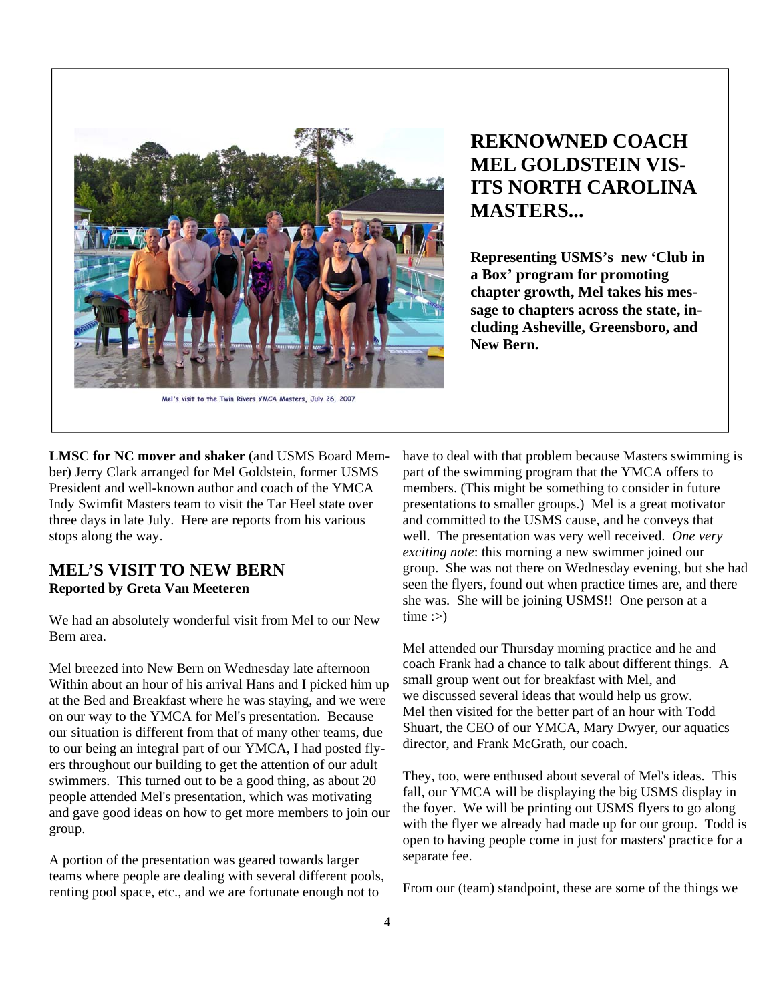

Mel's visit to the Twin Rivers YMCA Masters, July 26, 2007

## **REKNOWNED COACH MEL GOLDSTEIN VIS-ITS NORTH CAROLINA MASTERS...**

**Representing USMS's new 'Club in a Box' program for promoting chapter growth, Mel takes his message to chapters across the state, including Asheville, Greensboro, and New Bern.** 

**LMSC for NC mover and shaker** (and USMS Board Member) Jerry Clark arranged for Mel Goldstein, former USMS President and well-known author and coach of the YMCA Indy Swimfit Masters team to visit the Tar Heel state over three days in late July. Here are reports from his various stops along the way.

## **MEL'S VISIT TO NEW BERN Reported by Greta Van Meeteren**

We had an absolutely wonderful visit from Mel to our New Bern area.

Mel breezed into New Bern on Wednesday late afternoon Within about an hour of his arrival Hans and I picked him up at the Bed and Breakfast where he was staying, and we were on our way to the YMCA for Mel's presentation. Because our situation is different from that of many other teams, due to our being an integral part of our YMCA, I had posted flyers throughout our building to get the attention of our adult swimmers. This turned out to be a good thing, as about 20 people attended Mel's presentation, which was motivating and gave good ideas on how to get more members to join our group.

A portion of the presentation was geared towards larger teams where people are dealing with several different pools, renting pool space, etc., and we are fortunate enough not to

have to deal with that problem because Masters swimming is part of the swimming program that the YMCA offers to members. (This might be something to consider in future presentations to smaller groups.) Mel is a great motivator and committed to the USMS cause, and he conveys that well. The presentation was very well received. *One very exciting note*: this morning a new swimmer joined our group. She was not there on Wednesday evening, but she had seen the flyers, found out when practice times are, and there she was. She will be joining USMS!! One person at a  $time:$ 

Mel attended our Thursday morning practice and he and coach Frank had a chance to talk about different things. A small group went out for breakfast with Mel, and we discussed several ideas that would help us grow. Mel then visited for the better part of an hour with Todd Shuart, the CEO of our YMCA, Mary Dwyer, our aquatics director, and Frank McGrath, our coach.

They, too, were enthused about several of Mel's ideas. This fall, our YMCA will be displaying the big USMS display in the foyer. We will be printing out USMS flyers to go along with the flyer we already had made up for our group. Todd is open to having people come in just for masters' practice for a separate fee.

From our (team) standpoint, these are some of the things we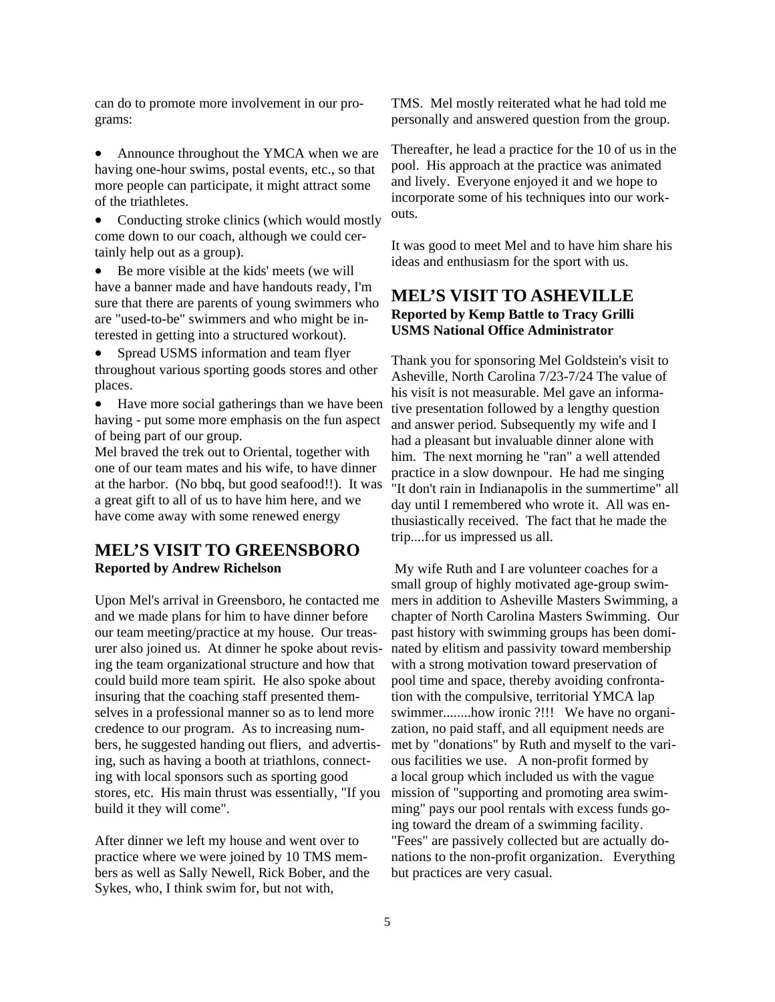can do to promote more involvement in our programs:

• Announce throughout the YMCA when we are having one-hour swims, postal events, etc., so that more people can participate, it might attract some of the triathletes.

• Conducting stroke clinics (which would mostly come down to our coach, although we could certainly help out as a group).

• Be more visible at the kids' meets (we will have a banner made and have handouts ready, I'm sure that there are parents of young swimmers who are "used-to-be" swimmers and who might be interested in getting into a structured workout).

Spread USMS information and team flyer throughout various sporting goods stores and other places.

Have more social gatherings than we have been having - put some more emphasis on the fun aspect of being part of our group.

Mel braved the trek out to Oriental, together with one of our team mates and his wife, to have dinner at the harbor. (No bbq, but good seafood!!). It was a great gift to all of us to have him here, and we have come away with some renewed energy

## **MEL'S VISIT TO GREENSBORO Reported by Andrew Richelson**

Upon Mel's arrival in Greensboro, he contacted me and we made plans for him to have dinner before our team meeting/practice at my house. Our treasurer also joined us. At dinner he spoke about revising the team organizational structure and how that could build more team spirit. He also spoke about insuring that the coaching staff presented themselves in a professional manner so as to lend more credence to our program. As to increasing numbers, he suggested handing out fliers, and advertising, such as having a booth at triathlons, connecting with local sponsors such as sporting good stores, etc. His main thrust was essentially, "If you build it they will come".

After dinner we left my house and went over to practice where we were joined by 10 TMS members as well as Sally Newell, Rick Bober, and the Sykes, who, I think swim for, but not with,

TMS. Mel mostly reiterated what he had told me personally and answered question from the group.

Thereafter, he lead a practice for the 10 of us in the pool. His approach at the practice was animated and lively. Everyone enjoyed it and we hope to incorporate some of his techniques into our workouts.

It was good to meet Mel and to have him share his ideas and enthusiasm for the sport with us.

#### **MEL'S VISIT TO ASHEVILLE Reported by Kemp Battle to Tracy Grilli USMS National Office Administrator**

Thank you for sponsoring Mel Goldstein's visit to Asheville, North Carolina 7/23-7/24 The value of his visit is not measurable. Mel gave an informative presentation followed by a lengthy question and answer period. Subsequently my wife and I had a pleasant but invaluable dinner alone with him. The next morning he "ran" a well attended practice in a slow downpour. He had me singing "It don't rain in Indianapolis in the summertime" all day until I remembered who wrote it. All was enthusiastically received. The fact that he made the trip....for us impressed us all.

 My wife Ruth and I are volunteer coaches for a small group of highly motivated age-group swimmers in addition to Asheville Masters Swimming, a chapter of North Carolina Masters Swimming. Our past history with swimming groups has been dominated by elitism and passivity toward membership with a strong motivation toward preservation of pool time and space, thereby avoiding confrontation with the compulsive, territorial YMCA lap swimmer........how ironic ?!!! We have no organization, no paid staff, and all equipment needs are met by "donations" by Ruth and myself to the various facilities we use. A non-profit formed by a local group which included us with the vague mission of "supporting and promoting area swimming" pays our pool rentals with excess funds going toward the dream of a swimming facility. "Fees" are passively collected but are actually donations to the non-profit organization. Everything but practices are very casual.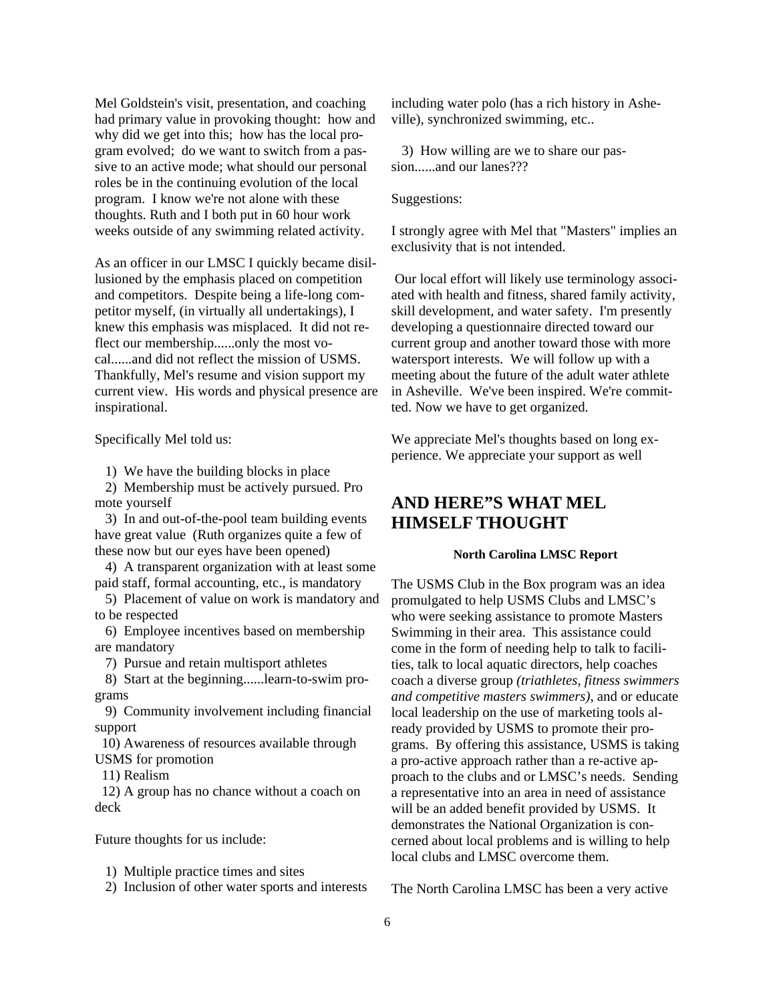Mel Goldstein's visit, presentation, and coaching had primary value in provoking thought: how and why did we get into this; how has the local program evolved; do we want to switch from a passive to an active mode; what should our personal roles be in the continuing evolution of the local program. I know we're not alone with these thoughts. Ruth and I both put in 60 hour work weeks outside of any swimming related activity.

As an officer in our LMSC I quickly became disillusioned by the emphasis placed on competition and competitors. Despite being a life-long competitor myself, (in virtually all undertakings), I knew this emphasis was misplaced. It did not reflect our membership......only the most vocal......and did not reflect the mission of USMS. Thankfully, Mel's resume and vision support my current view. His words and physical presence are inspirational.

Specifically Mel told us:

1) We have the building blocks in place

 2) Membership must be actively pursued. Pro mote yourself

 3) In and out-of-the-pool team building events have great value (Ruth organizes quite a few of these now but our eyes have been opened)

 4) A transparent organization with at least some paid staff, formal accounting, etc., is mandatory

 5) Placement of value on work is mandatory and to be respected

 6) Employee incentives based on membership are mandatory

7) Pursue and retain multisport athletes

 8) Start at the beginning......learn-to-swim programs

 9) Community involvement including financial support

 10) Awareness of resources available through USMS for promotion

11) Realism

 12) A group has no chance without a coach on deck

Future thoughts for us include:

1) Multiple practice times and sites

2) Inclusion of other water sports and interests

including water polo (has a rich history in Asheville), synchronized swimming, etc..

 3) How willing are we to share our passion......and our lanes???

Suggestions:

I strongly agree with Mel that "Masters" implies an exclusivity that is not intended.

 Our local effort will likely use terminology associated with health and fitness, shared family activity, skill development, and water safety. I'm presently developing a questionnaire directed toward our current group and another toward those with more watersport interests. We will follow up with a meeting about the future of the adult water athlete in Asheville. We've been inspired. We're committed. Now we have to get organized.

We appreciate Mel's thoughts based on long experience. We appreciate your support as well

## **AND HERE"S WHAT MEL HIMSELF THOUGHT**

#### **North Carolina LMSC Report**

The USMS Club in the Box program was an idea promulgated to help USMS Clubs and LMSC's who were seeking assistance to promote Masters Swimming in their area. This assistance could come in the form of needing help to talk to facilities, talk to local aquatic directors, help coaches coach a diverse group *(triathletes, fitness swimmers and competitive masters swimmers)*, and or educate local leadership on the use of marketing tools already provided by USMS to promote their programs. By offering this assistance, USMS is taking a pro-active approach rather than a re-active approach to the clubs and or LMSC's needs. Sending a representative into an area in need of assistance will be an added benefit provided by USMS. It demonstrates the National Organization is concerned about local problems and is willing to help local clubs and LMSC overcome them.

The North Carolina LMSC has been a very active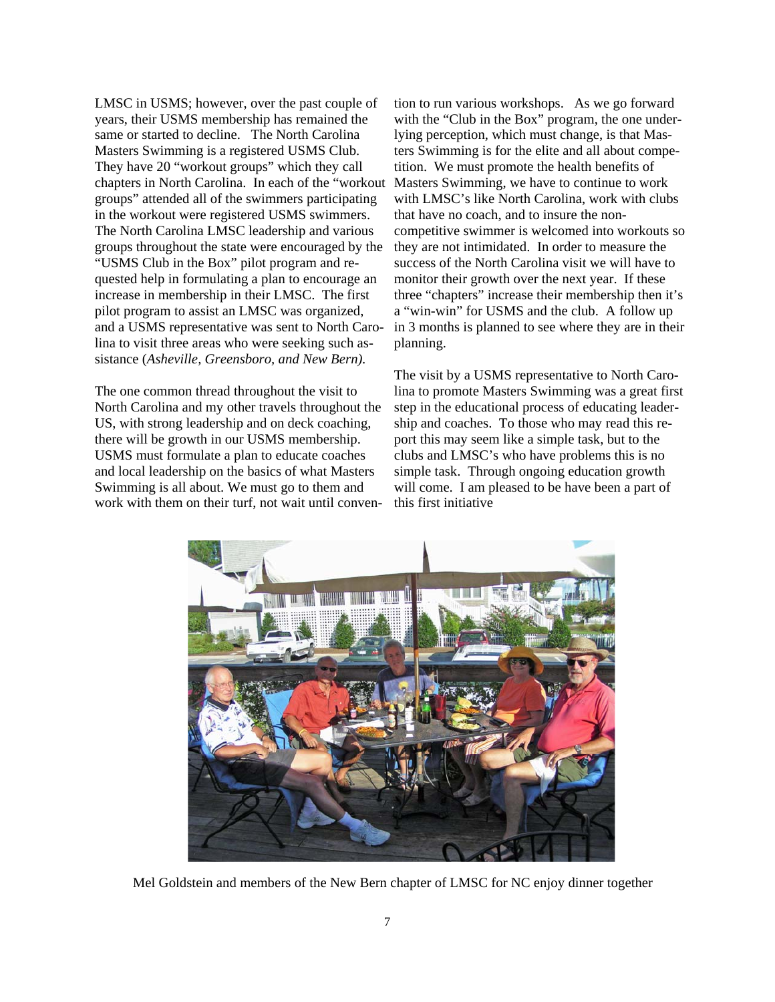LMSC in USMS; however, over the past couple of years, their USMS membership has remained the same or started to decline. The North Carolina Masters Swimming is a registered USMS Club. They have 20 "workout groups" which they call chapters in North Carolina. In each of the "workout groups" attended all of the swimmers participating in the workout were registered USMS swimmers. The North Carolina LMSC leadership and various groups throughout the state were encouraged by the "USMS Club in the Box" pilot program and requested help in formulating a plan to encourage an increase in membership in their LMSC. The first pilot program to assist an LMSC was organized, and a USMS representative was sent to North Carolina to visit three areas who were seeking such assistance (*Asheville, Greensboro, and New Bern).* 

The one common thread throughout the visit to North Carolina and my other travels throughout the US, with strong leadership and on deck coaching, there will be growth in our USMS membership. USMS must formulate a plan to educate coaches and local leadership on the basics of what Masters Swimming is all about. We must go to them and work with them on their turf, not wait until conven-

tion to run various workshops. As we go forward with the "Club in the Box" program, the one underlying perception, which must change, is that Masters Swimming is for the elite and all about competition. We must promote the health benefits of Masters Swimming, we have to continue to work with LMSC's like North Carolina, work with clubs that have no coach, and to insure the noncompetitive swimmer is welcomed into workouts so they are not intimidated. In order to measure the success of the North Carolina visit we will have to monitor their growth over the next year. If these three "chapters" increase their membership then it's a "win-win" for USMS and the club. A follow up in 3 months is planned to see where they are in their planning.

The visit by a USMS representative to North Carolina to promote Masters Swimming was a great first step in the educational process of educating leadership and coaches. To those who may read this report this may seem like a simple task, but to the clubs and LMSC's who have problems this is no simple task. Through ongoing education growth will come. I am pleased to be have been a part of this first initiative



Mel Goldstein and members of the New Bern chapter of LMSC for NC enjoy dinner together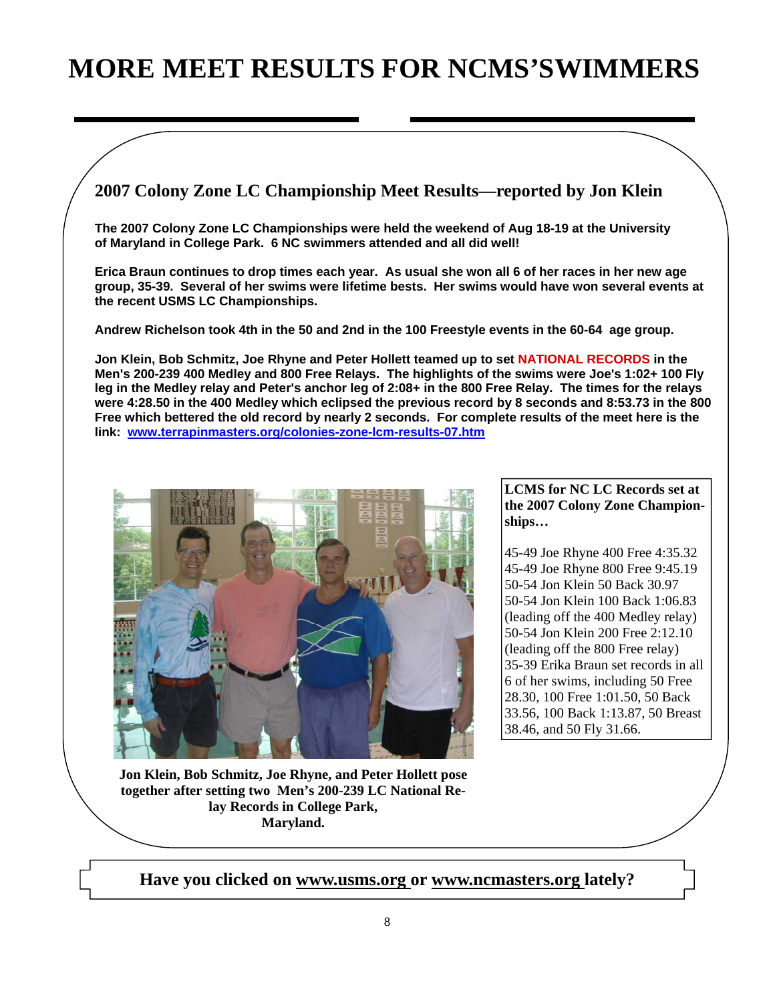## **MORE MEET RESULTS FOR NCMS'SWIMMERS**

**2007 Colony Zone LC Championship Meet Results—reported by Jon Klein** 

**The 2007 Colony Zone LC Championships were held the weekend of Aug 18-19 at the University of Maryland in College Park. 6 NC swimmers attended and all did well!** 

**Erica Braun continues to drop times each year. As usual she won all 6 of her races in her new age group, 35-39. Several of her swims were lifetime bests. Her swims would have won several events at the recent USMS LC Championships.** 

**Andrew Richelson took 4th in the 50 and 2nd in the 100 Freestyle events in the 60-64 age group.**

**Jon Klein, Bob Schmitz, Joe Rhyne and Peter Hollett teamed up to set NATIONAL RECORDS in the Men's 200-239 400 Medley and 800 Free Relays. The highlights of the swims were Joe's 1:02+ 100 Fly leg in the Medley relay and Peter's anchor leg of 2:08+ in the 800 Free Relay. The times for the relays were 4:28.50 in the 400 Medley which eclipsed the previous record by 8 seconds and 8:53.73 in the 800 Free which bettered the old record by nearly 2 seconds. For complete results of the meet here is the link: www.terrapinmasters.org/colonies-zone-lcm-results-07.htm**



**LCMS for NC LC Records set at the 2007 Colony Zone Championships…** 

45-49 Joe Rhyne 400 Free 4:35.32 45-49 Joe Rhyne 800 Free 9:45.19 50-54 Jon Klein 50 Back 30.97 50-54 Jon Klein 100 Back 1:06.83 (leading off the 400 Medley relay) 50-54 Jon Klein 200 Free 2:12.10 (leading off the 800 Free relay) 35-39 Erika Braun set records in all 6 of her swims, including 50 Free 28.30, 100 Free 1:01.50, 50 Back 33.56, 100 Back 1:13.87, 50 Breast 38.46, and 50 Fly 31.66.

**Jon Klein, Bob Schmitz, Joe Rhyne, and Peter Hollett pose together after setting two Men's 200-239 LC National Relay Records in College Park, Maryland.** 

**Have you clicked on www.usms.org or www.ncmasters.org lately?**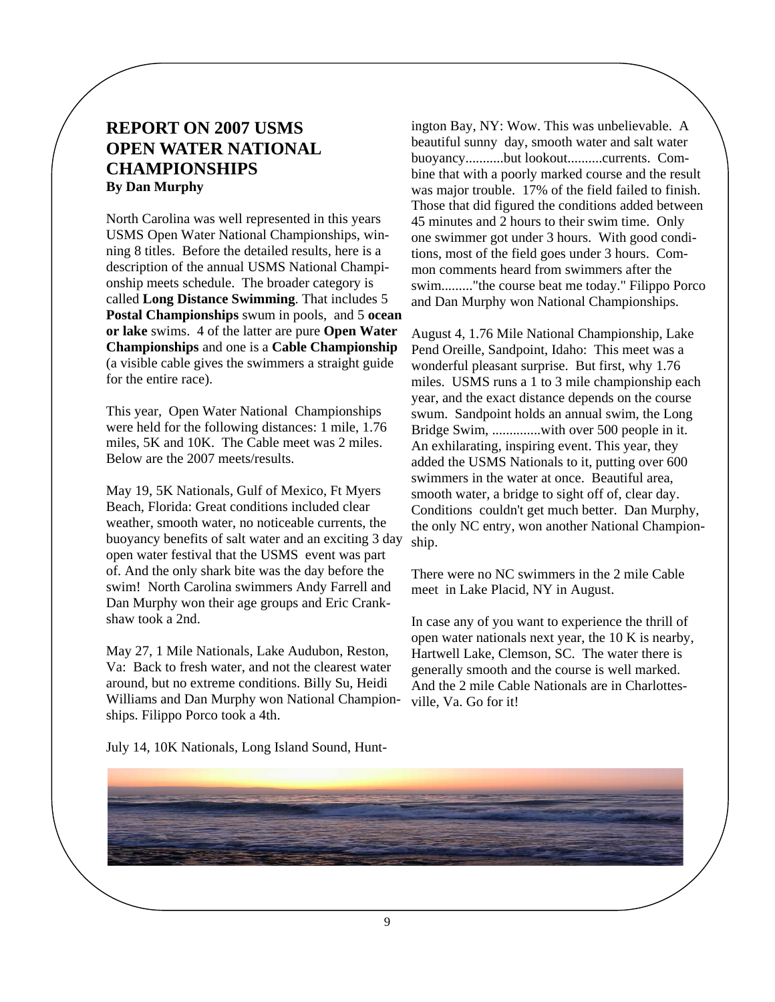## **REPORT ON 2007 USMS OPEN WATER NATIONAL CHAMPIONSHIPS By Dan Murphy**

North Carolina was well represented in this years USMS Open Water National Championships, winning 8 titles. Before the detailed results, here is a description of the annual USMS National Championship meets schedule. The broader category is called **Long Distance Swimming**. That includes 5 **Postal Championships** swum in pools, and 5 **ocean or lake** swims. 4 of the latter are pure **Open Water Championships** and one is a **Cable Championship**  (a visible cable gives the swimmers a straight guide for the entire race).

This year, Open Water National Championships were held for the following distances: 1 mile, 1.76 miles, 5K and 10K. The Cable meet was 2 miles. Below are the 2007 meets/results.

May 19, 5K Nationals, Gulf of Mexico, Ft Myers Beach, Florida: Great conditions included clear weather, smooth water, no noticeable currents, the buoyancy benefits of salt water and an exciting 3 day open water festival that the USMS event was part of. And the only shark bite was the day before the swim! North Carolina swimmers Andy Farrell and Dan Murphy won their age groups and Eric Crankshaw took a 2nd.

May 27, 1 Mile Nationals, Lake Audubon, Reston, Va: Back to fresh water, and not the clearest water around, but no extreme conditions. Billy Su, Heidi Williams and Dan Murphy won National Championships. Filippo Porco took a 4th.

ington Bay, NY: Wow. This was unbelievable. A beautiful sunny day, smooth water and salt water buoyancy...........but lookout..........currents. Combine that with a poorly marked course and the result was major trouble. 17% of the field failed to finish. Those that did figured the conditions added between 45 minutes and 2 hours to their swim time. Only one swimmer got under 3 hours. With good conditions, most of the field goes under 3 hours. Common comments heard from swimmers after the swim........."the course beat me today." Filippo Porco and Dan Murphy won National Championships.

August 4, 1.76 Mile National Championship, Lake Pend Oreille, Sandpoint, Idaho: This meet was a wonderful pleasant surprise. But first, why 1.76 miles. USMS runs a 1 to 3 mile championship each year, and the exact distance depends on the course swum. Sandpoint holds an annual swim, the Long Bridge Swim, ..............with over 500 people in it. An exhilarating, inspiring event. This year, they added the USMS Nationals to it, putting over 600 swimmers in the water at once. Beautiful area, smooth water, a bridge to sight off of, clear day. Conditions couldn't get much better. Dan Murphy, the only NC entry, won another National Championship.

There were no NC swimmers in the 2 mile Cable meet in Lake Placid, NY in August.

In case any of you want to experience the thrill of open water nationals next year, the 10 K is nearby, Hartwell Lake, Clemson, SC. The water there is generally smooth and the course is well marked. And the 2 mile Cable Nationals are in Charlottesville, Va. Go for it!

July 14, 10K Nationals, Long Island Sound, Hunt-

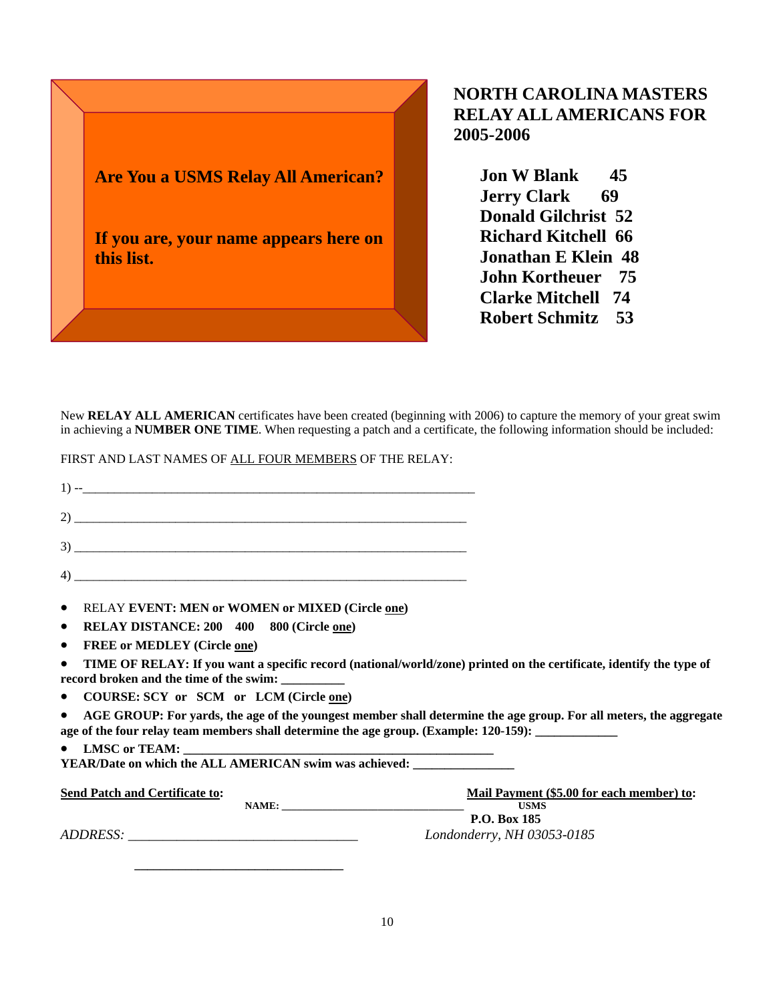

## **NORTH CAROLINA MASTERS RELAY ALL AMERICANS FOR 2005-2006**

 **Jon W Blank 45 Jerry Clark 69 Donald Gilchrist 52 Richard Kitchell 66 Jonathan E Klein 48 John Kortheuer 75 Clarke Mitchell 74 Robert Schmitz 53** 

New **RELAY ALL AMERICAN** certificates have been created (beginning with 2006) to capture the memory of your great swim in achieving a **NUMBER ONE TIME**. When requesting a patch and a certificate, the following information should be included:

FIRST AND LAST NAMES OF ALL FOUR MEMBERS OF THE RELAY:

| <b>RELAY EVENT: MEN or WOMEN or MIXED (Circle one)</b><br>$\bullet$                                                                                                                                                                   |                                                          |
|---------------------------------------------------------------------------------------------------------------------------------------------------------------------------------------------------------------------------------------|----------------------------------------------------------|
| RELAY DISTANCE: 200 400 800 (Circle one)<br>$\bullet$                                                                                                                                                                                 |                                                          |
| <b>FREE or MEDLEY (Circle one)</b><br>$\bullet$                                                                                                                                                                                       |                                                          |
| TIME OF RELAY: If you want a specific record (national/world/zone) printed on the certificate, identify the type of<br>$\bullet$                                                                                                      |                                                          |
| COURSE: SCY or SCM or LCM (Circle one)<br>$\bullet$                                                                                                                                                                                   |                                                          |
| AGE GROUP: For yards, the age of the youngest member shall determine the age group. For all meters, the aggregate<br>$\bullet$<br>age of the four relay team members shall determine the age group. (Example: 120-159): _____________ |                                                          |
| $\bullet$                                                                                                                                                                                                                             |                                                          |
| YEAR/Date on which the ALL AMERICAN swim was achieved:                                                                                                                                                                                |                                                          |
| <b>Send Patch and Certificate to:</b>                                                                                                                                                                                                 | Mail Payment (\$5.00 for each member) to:<br><b>USMS</b> |
| ADDRESS:                                                                                                                                                                                                                              | P.O. Box 185<br>Londonderry, NH 03053-0185               |

 **\_\_\_\_\_\_\_\_\_\_\_\_\_\_\_\_\_\_\_\_\_\_\_\_\_\_\_\_\_\_\_\_\_**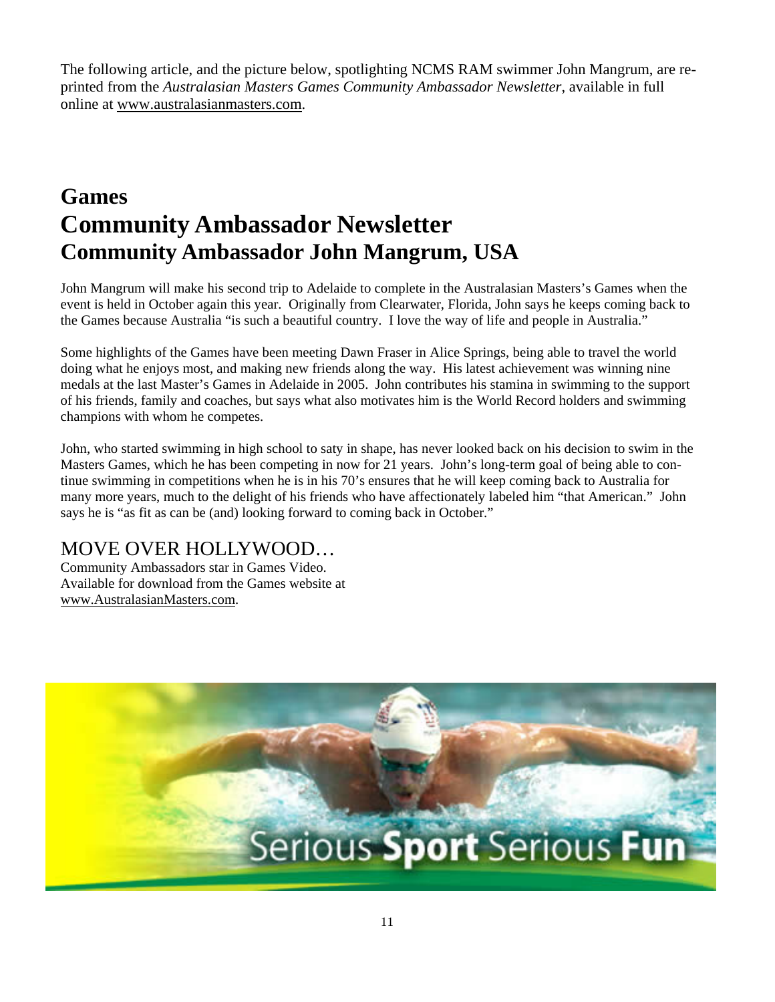The following article, and the picture below, spotlighting NCMS RAM swimmer John Mangrum, are reprinted from the *Australasian Masters Games Community Ambassador Newsletter*, available in full online at www.australasianmasters.com.

## **Games Community Ambassador Newsletter Community Ambassador John Mangrum, USA**

John Mangrum will make his second trip to Adelaide to complete in the Australasian Masters's Games when the event is held in October again this year. Originally from Clearwater, Florida, John says he keeps coming back to the Games because Australia "is such a beautiful country. I love the way of life and people in Australia."

Some highlights of the Games have been meeting Dawn Fraser in Alice Springs, being able to travel the world doing what he enjoys most, and making new friends along the way. His latest achievement was winning nine medals at the last Master's Games in Adelaide in 2005. John contributes his stamina in swimming to the support of his friends, family and coaches, but says what also motivates him is the World Record holders and swimming champions with whom he competes.

John, who started swimming in high school to saty in shape, has never looked back on his decision to swim in the Masters Games, which he has been competing in now for 21 years. John's long-term goal of being able to continue swimming in competitions when he is in his 70's ensures that he will keep coming back to Australia for many more years, much to the delight of his friends who have affectionately labeled him "that American." John says he is "as fit as can be (and) looking forward to coming back in October."

## MOVE OVER HOLLYWOOD…

Community Ambassadors star in Games Video. Available for download from the Games website at www.AustralasianMasters.com.

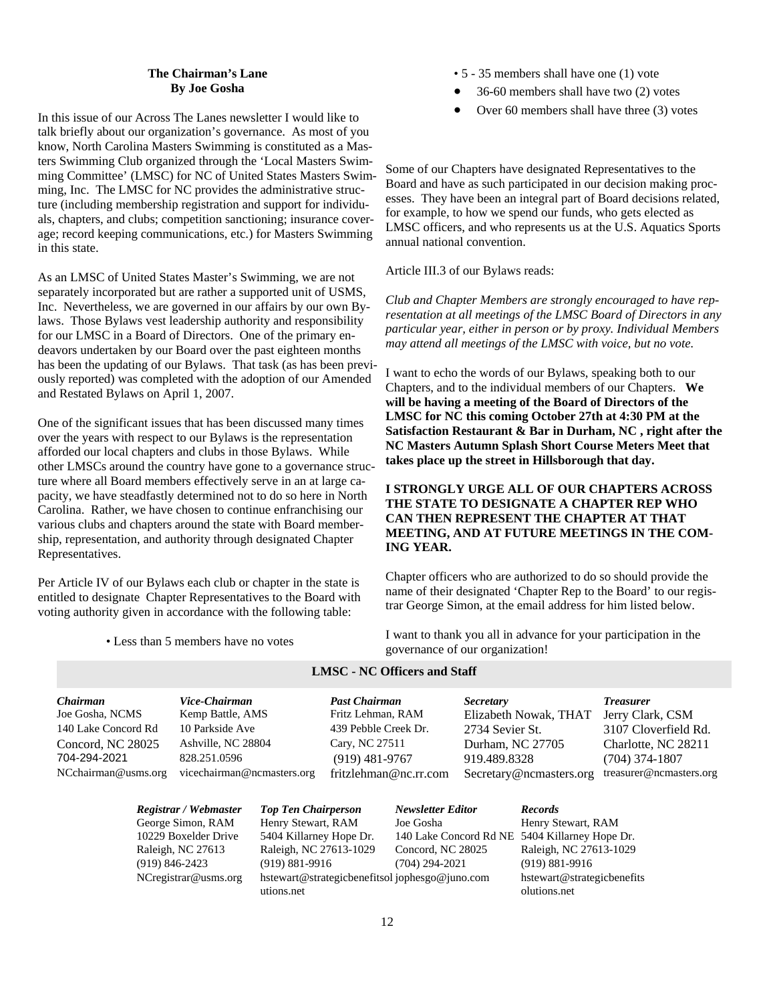#### **The Chairman's Lane By Joe Gosha**

In this issue of our Across The Lanes newsletter I would like to talk briefly about our organization's governance. As most of you know, North Carolina Masters Swimming is constituted as a Masters Swimming Club organized through the 'Local Masters Swimming Committee' (LMSC) for NC of United States Masters Swimming, Inc. The LMSC for NC provides the administrative structure (including membership registration and support for individuals, chapters, and clubs; competition sanctioning; insurance coverage; record keeping communications, etc.) for Masters Swimming in this state.

As an LMSC of United States Master's Swimming, we are not separately incorporated but are rather a supported unit of USMS, Inc. Nevertheless, we are governed in our affairs by our own Bylaws. Those Bylaws vest leadership authority and responsibility for our LMSC in a Board of Directors. One of the primary endeavors undertaken by our Board over the past eighteen months has been the updating of our Bylaws. That task (as has been previously reported) was completed with the adoption of our Amended and Restated Bylaws on April 1, 2007.

One of the significant issues that has been discussed many times over the years with respect to our Bylaws is the representation afforded our local chapters and clubs in those Bylaws. While other LMSCs around the country have gone to a governance structure where all Board members effectively serve in an at large capacity, we have steadfastly determined not to do so here in North Carolina. Rather, we have chosen to continue enfranchising our various clubs and chapters around the state with Board membership, representation, and authority through designated Chapter Representatives.

Per Article IV of our Bylaws each club or chapter in the state is entitled to designate Chapter Representatives to the Board with voting authority given in accordance with the following table:

• Less than 5 members have no votes

- 5 35 members shall have one (1) vote
- 36-60 members shall have two (2) votes
- Over 60 members shall have three (3) votes

Some of our Chapters have designated Representatives to the Board and have as such participated in our decision making processes. They have been an integral part of Board decisions related, for example, to how we spend our funds, who gets elected as LMSC officers, and who represents us at the U.S. Aquatics Sports annual national convention.

Article III.3 of our Bylaws reads:

*Club and Chapter Members are strongly encouraged to have representation at all meetings of the LMSC Board of Directors in any particular year, either in person or by proxy. Individual Members may attend all meetings of the LMSC with voice, but no vote.* 

I want to echo the words of our Bylaws, speaking both to our Chapters, and to the individual members of our Chapters. **We will be having a meeting of the Board of Directors of the LMSC for NC this coming October 27th at 4:30 PM at the Satisfaction Restaurant & Bar in Durham, NC , right after the NC Masters Autumn Splash Short Course Meters Meet that takes place up the street in Hillsborough that day.** 

#### **I STRONGLY URGE ALL OF OUR CHAPTERS ACROSS THE STATE TO DESIGNATE A CHAPTER REP WHO CAN THEN REPRESENT THE CHAPTER AT THAT MEETING, AND AT FUTURE MEETINGS IN THE COM-ING YEAR.**

Chapter officers who are authorized to do so should provide the name of their designated 'Chapter Rep to the Board' to our registrar George Simon, at the email address for him listed below.

I want to thank you all in advance for your participation in the governance of our organization!

| Joe Gosha, NCMS<br>Kemp Battle, AMS<br>10 Parkside Ave<br>140 Lake Concord Rd | Fritz Lehman, RAM     | Elizabeth Nowak, THAT   |                         |
|-------------------------------------------------------------------------------|-----------------------|-------------------------|-------------------------|
|                                                                               |                       |                         | Jerry Clark, CSM        |
|                                                                               | 439 Pebble Creek Dr.  | 2734 Sevier St.         | 3107 Cloverfield Rd.    |
| Ashville, NC 28804<br>Concord, NC 28025                                       | Cary, NC 27511        | Durham, NC 27705        | Charlotte, NC 28211     |
| 704-294-2021<br>828.251.0596                                                  | $(919)$ 481-9767      | 919.489.8328            | $(704)$ 374-1807        |
| vicechairman@ncmasters.org<br>NCchairman@usms.org                             | fritzlehman@nc.rr.com | Secretary@ncmasters.org | treasurer@ncmasters.org |

**LMSC - NC Officers and Staff** 

| Registrar / Webmaster   | <b>Top Ten Chairperson</b>                                   | <b>Newsletter Editor</b>                       | <b>Records</b>                             |
|-------------------------|--------------------------------------------------------------|------------------------------------------------|--------------------------------------------|
| George Simon, RAM       | Henry Stewart, RAM                                           | Joe Gosha                                      | Henry Stewart, RAM                         |
| 10229 Boxelder Drive    | 5404 Killarney Hope Dr.                                      | 140 Lake Concord Rd NE 5404 Killarney Hope Dr. |                                            |
| Raleigh, NC 27613       | Raleigh, NC 27613-1029                                       | Concord, NC 28025                              | Raleigh, NC 27613-1029                     |
| $(919) 846 - 2423$      | $(919) 881 - 9916$                                           | $(704)$ 294-2021                               | $(919) 881 - 9916$                         |
| $NC$ registrar@usms.org | hstewart@strategicbenefitsol jophesgo@juno.com<br>utions.net |                                                | hstewart@strategicbenefits<br>olutions.net |

12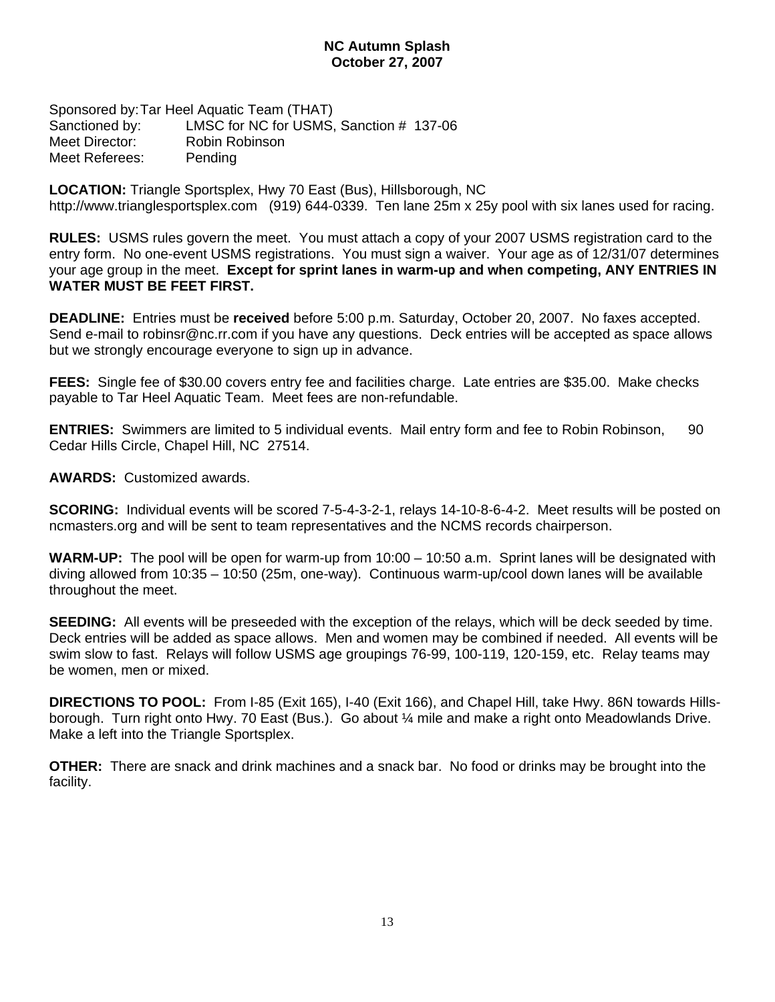#### **NC Autumn Splash October 27, 2007**

Sponsored by: Tar Heel Aquatic Team (THAT) Sanctioned by: LMSC for NC for USMS, Sanction # 137-06 Meet Director: Robin Robinson Meet Referees: Pending

**LOCATION:** Triangle Sportsplex, Hwy 70 East (Bus), Hillsborough, NC http://www.trianglesportsplex.com (919) 644-0339. Ten lane 25m x 25y pool with six lanes used for racing.

**RULES:** USMS rules govern the meet. You must attach a copy of your 2007 USMS registration card to the entry form. No one-event USMS registrations. You must sign a waiver. Your age as of 12/31/07 determines your age group in the meet. **Except for sprint lanes in warm-up and when competing, ANY ENTRIES IN WATER MUST BE FEET FIRST.** 

**DEADLINE:** Entries must be **received** before 5:00 p.m. Saturday, October 20, 2007. No faxes accepted. Send e-mail to robinsr@nc.rr.com if you have any questions. Deck entries will be accepted as space allows but we strongly encourage everyone to sign up in advance.

**FEES:** Single fee of \$30.00 covers entry fee and facilities charge. Late entries are \$35.00. Make checks payable to Tar Heel Aquatic Team. Meet fees are non-refundable.

**ENTRIES:** Swimmers are limited to 5 individual events. Mail entry form and fee to Robin Robinson, 90 Cedar Hills Circle, Chapel Hill, NC 27514.

**AWARDS:** Customized awards.

**SCORING:** Individual events will be scored 7-5-4-3-2-1, relays 14-10-8-6-4-2. Meet results will be posted on ncmasters.org and will be sent to team representatives and the NCMS records chairperson.

**WARM-UP:** The pool will be open for warm-up from 10:00 – 10:50 a.m. Sprint lanes will be designated with diving allowed from 10:35 – 10:50 (25m, one-way). Continuous warm-up/cool down lanes will be available throughout the meet.

**SEEDING:** All events will be preseeded with the exception of the relays, which will be deck seeded by time. Deck entries will be added as space allows. Men and women may be combined if needed. All events will be swim slow to fast. Relays will follow USMS age groupings 76-99, 100-119, 120-159, etc. Relay teams may be women, men or mixed.

**DIRECTIONS TO POOL:** From I-85 (Exit 165), I-40 (Exit 166), and Chapel Hill, take Hwy. 86N towards Hillsborough. Turn right onto Hwy. 70 East (Bus.). Go about ¼ mile and make a right onto Meadowlands Drive. Make a left into the Triangle Sportsplex.

**OTHER:** There are snack and drink machines and a snack bar. No food or drinks may be brought into the facility.